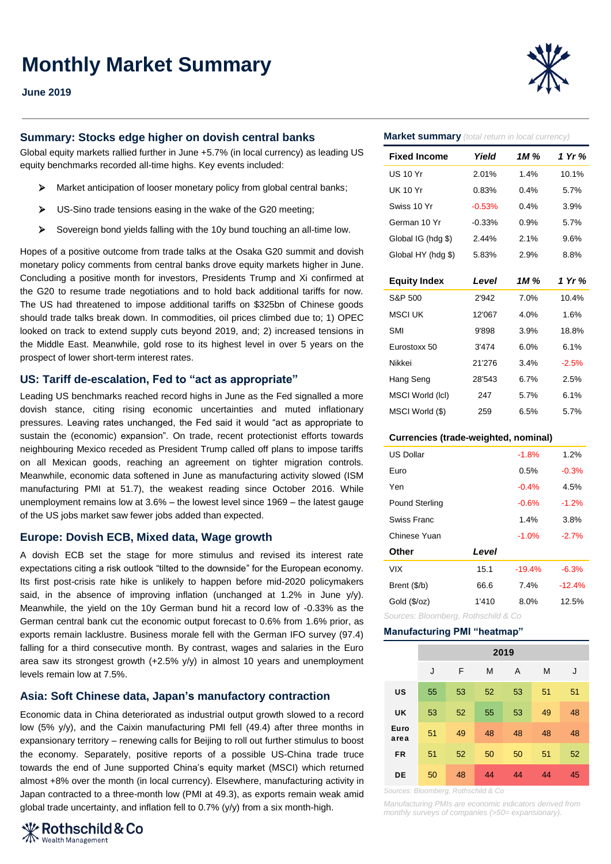# **Monthly Market Summary**

### **June 2019**

## **Summary: Stocks edge higher on dovish central banks**

Global equity markets rallied further in June +5.7% (in local currency) as leading US equity benchmarks recorded all-time highs. Key events included:

- Market anticipation of looser monetary policy from global central banks;
- $\triangleright$  US-Sino trade tensions easing in the wake of the G20 meeting;
- Sovereign bond yields falling with the 10y bund touching an all-time low.

Hopes of a positive outcome from trade talks at the Osaka G20 summit and dovish monetary policy comments from central banks drove equity markets higher in June. Concluding a positive month for investors, Presidents Trump and Xi confirmed at the G20 to resume trade negotiations and to hold back additional tariffs for now. The US had threatened to impose additional tariffs on \$325bn of Chinese goods should trade talks break down. In commodities, oil prices climbed due to; 1) OPEC looked on track to extend supply cuts beyond 2019, and; 2) increased tensions in the Middle East. Meanwhile, gold rose to its highest level in over 5 years on the prospect of lower short-term interest rates.

# **US: Tariff de-escalation, Fed to "act as appropriate"**

Leading US benchmarks reached record highs in June as the Fed signalled a more dovish stance, citing rising economic uncertainties and muted inflationary pressures. Leaving rates unchanged, the Fed said it would "act as appropriate to sustain the (economic) expansion". On trade, recent protectionist efforts towards neighbouring Mexico receded as President Trump called off plans to impose tariffs on all Mexican goods, reaching an agreement on tighter migration controls. Meanwhile, economic data softened in June as manufacturing activity slowed (ISM manufacturing PMI at 51.7), the weakest reading since October 2016. While unemployment remains low at 3.6% – the lowest level since 1969 – the latest gauge of the US jobs market saw fewer jobs added than expected.

#### **Europe: Dovish ECB, Mixed data, Wage growth**

A dovish ECB set the stage for more stimulus and revised its interest rate expectations citing a risk outlook "tilted to the downside" for the European economy. Its first post-crisis rate hike is unlikely to happen before mid-2020 policymakers said, in the absence of improving inflation (unchanged at 1.2% in June  $y/y$ ). Meanwhile, the yield on the 10y German bund hit a record low of -0.33% as the German central bank cut the economic output forecast to 0.6% from 1.6% prior, as exports remain lacklustre. Business morale fell with the German IFO survey (97.4) falling for a third consecutive month. By contrast, wages and salaries in the Euro area saw its strongest growth (+2.5% y/y) in almost 10 years and unemployment levels remain low at 7.5%.

## **Asia: Soft Chinese data, Japan's manufactory contraction**

Economic data in China deteriorated as industrial output growth slowed to a record low (5% y/y), and the Caixin manufacturing PMI fell (49.4) after three months in expansionary territory – renewing calls for Beijing to roll out further stimulus to boost the economy. Separately, positive reports of a possible US-China trade truce towards the end of June supported China's equity market (MSCI) which returned almost +8% over the month (in local currency). Elsewhere, manufacturing activity in Japan contracted to a three-month low (PMI at 49.3), as exports remain weak amid global trade uncertainty, and inflation fell to 0.7% (y/y) from a six month-high.





#### **Market summary** *(total return in local currency)*

| <b>Fixed Income</b> | Yield          | 1M %    | 1 Yr %  |  |
|---------------------|----------------|---------|---------|--|
| US 10 Yr            | 2.01%          | 1.4%    | 10.1%   |  |
| UK 10 Yr            | 0.83%          | 0.4%    | 5.7%    |  |
| Swiss 10 Yr         | $-0.53%$       | 0.4%    | 3.9%    |  |
| German 10 Yr        | $-0.33%$       | 0.9%    | 5.7%    |  |
| Global IG (hdg \$)  | 2.44%          | 2.1%    | 9.6%    |  |
| Global HY (hdg \$)  | 5.83%          | 2.9%    | 8.8%    |  |
|                     |                |         |         |  |
| <b>Equity Index</b> | Level          | 1M %    | 1 Yr %  |  |
| S&P 500             | 2'942          | 7.0%    | 10.4%   |  |
| <b>MSCI UK</b>      | 12'067         | 4.0%    | 1.6%    |  |
| <b>SMI</b>          | 9'898          | 3.9%    | 18.8%   |  |
| Eurostoxx 50        | 3'474          | $6.0\%$ | 6.1%    |  |
| Nikkei              | 21'276<br>3.4% |         | $-2.5%$ |  |
| Hang Seng           | 28'543         | 6.7%    | 2.5%    |  |
| MSCI World (IcI)    | 247            | 5.7%    | 6.1%    |  |
| MSCI World (\$)     | 259            | 6.5%    | 5.7%    |  |

#### **Currencies (trade-weighted, nominal)**

| <b>US Dollar</b>                    |       | $-1.8%$  | 1.2%     |  |  |  |  |  |
|-------------------------------------|-------|----------|----------|--|--|--|--|--|
| Euro                                |       | 0.5%     | $-0.3%$  |  |  |  |  |  |
| Yen                                 |       | $-0.4%$  | 4.5%     |  |  |  |  |  |
| <b>Pound Sterling</b>               |       | $-0.6%$  | $-1.2%$  |  |  |  |  |  |
| Swiss Franc                         |       | 1.4%     | 3.8%     |  |  |  |  |  |
| Chinese Yuan                        |       | $-1.0%$  | $-2.7%$  |  |  |  |  |  |
| Other                               | Level |          |          |  |  |  |  |  |
| VIX                                 | 15.1  | $-19.4%$ | $-6.3%$  |  |  |  |  |  |
| Brent (\$/b)                        | 66.6  | 7.4%     | $-12.4%$ |  |  |  |  |  |
| Gold (\$/oz)                        | 1'410 | 8.0%     | 12.5%    |  |  |  |  |  |
| Sources: Bloomberg, Rothschild & Co |       |          |          |  |  |  |  |  |

#### **Manufacturing PMI "heatmap"**

|              | 2019 |    |    |    |    |    |
|--------------|------|----|----|----|----|----|
|              | J    | F  | M  | A  | M  | J  |
| US           | 55   | 53 | 52 | 53 | 51 | 51 |
| UK           | 53   | 52 | 55 | 53 | 49 | 48 |
| Euro<br>area | 51   | 49 | 48 | 48 | 48 | 48 |
| <b>FR</b>    | 51   | 52 | 50 | 50 | 51 | 52 |
| DE           | 50   | 48 | 44 | 44 | 44 | 45 |

*Sources: Bloomberg, Rothschild & Co*

*Manufacturing PMIs are economic indicators derived from monthly surveys of companies (>50= expansionary).*